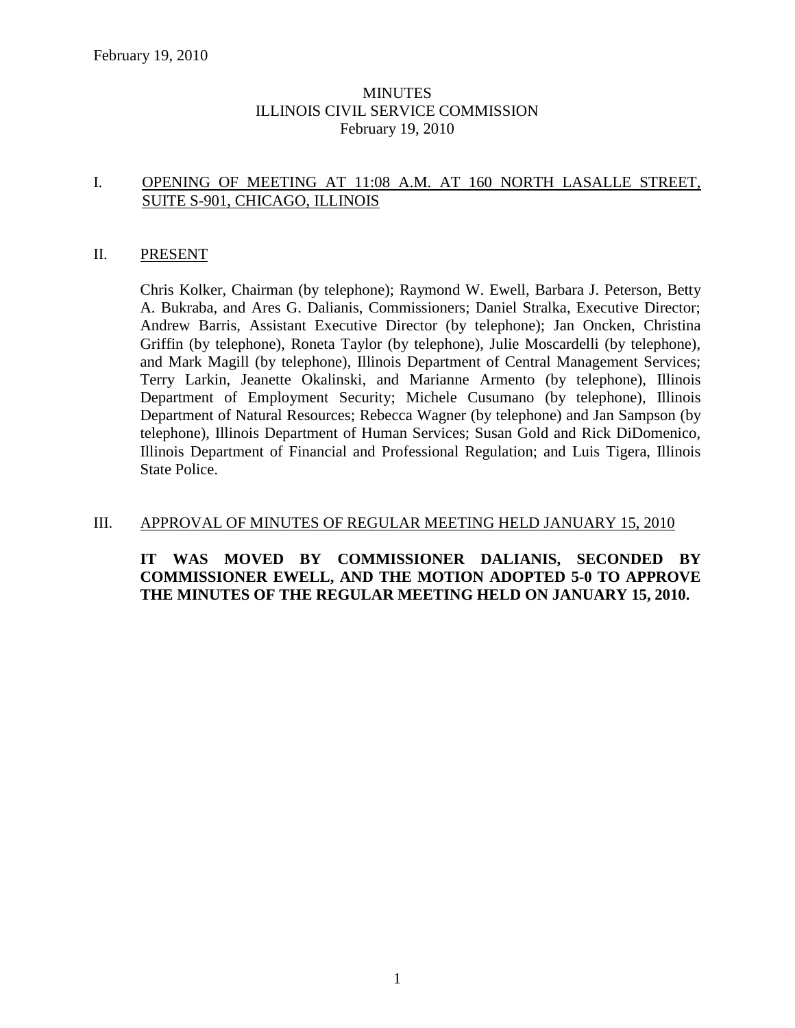#### MINUTES ILLINOIS CIVIL SERVICE COMMISSION February 19, 2010

#### I. OPENING OF MEETING AT 11:08 A.M. AT 160 NORTH LASALLE STREET, SUITE S-901, CHICAGO, ILLINOIS

#### II. PRESENT

Chris Kolker, Chairman (by telephone); Raymond W. Ewell, Barbara J. Peterson, Betty A. Bukraba, and Ares G. Dalianis, Commissioners; Daniel Stralka, Executive Director; Andrew Barris, Assistant Executive Director (by telephone); Jan Oncken, Christina Griffin (by telephone), Roneta Taylor (by telephone), Julie Moscardelli (by telephone), and Mark Magill (by telephone), Illinois Department of Central Management Services; Terry Larkin, Jeanette Okalinski, and Marianne Armento (by telephone), Illinois Department of Employment Security; Michele Cusumano (by telephone), Illinois Department of Natural Resources; Rebecca Wagner (by telephone) and Jan Sampson (by telephone), Illinois Department of Human Services; Susan Gold and Rick DiDomenico, Illinois Department of Financial and Professional Regulation; and Luis Tigera, Illinois State Police.

#### III. APPROVAL OF MINUTES OF REGULAR MEETING HELD JANUARY 15, 2010

#### **IT WAS MOVED BY COMMISSIONER DALIANIS, SECONDED BY COMMISSIONER EWELL, AND THE MOTION ADOPTED 5-0 TO APPROVE THE MINUTES OF THE REGULAR MEETING HELD ON JANUARY 15, 2010.**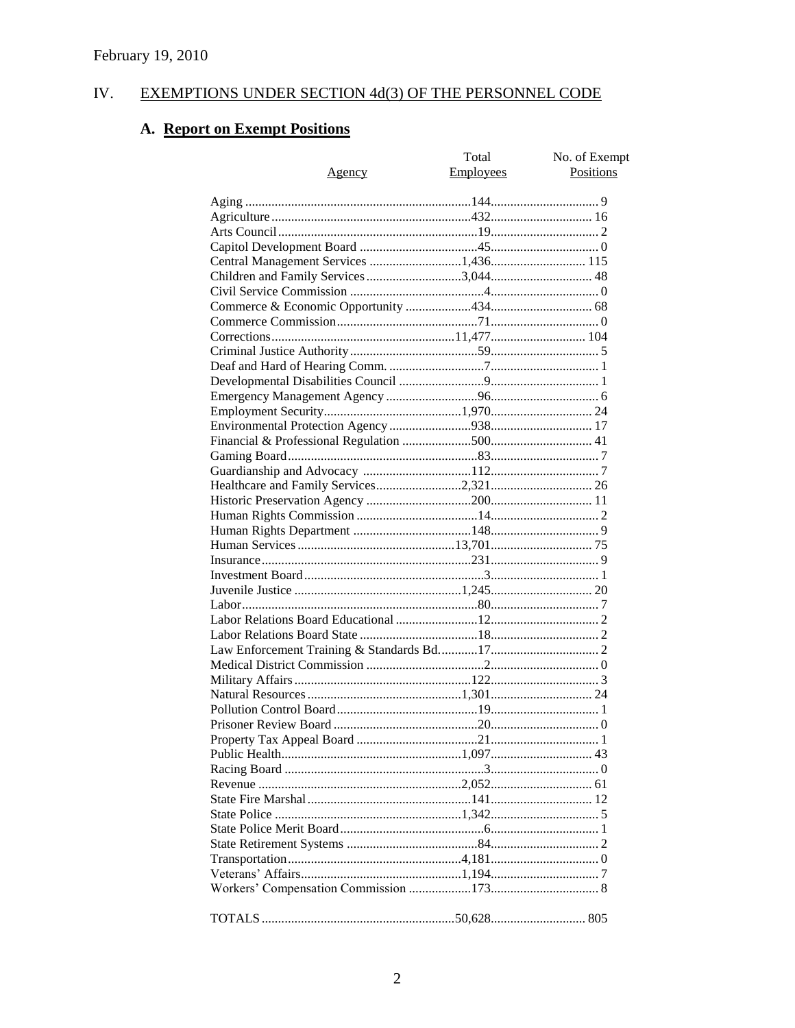#### IV. **EXEMPTIONS UNDER SECTION 4d(3) OF THE PERSONNEL CODE**

# A. Report on Exempt Positions

| <u>Agency</u>                         | Total<br><b>Employees</b> | No. of Exempt<br>Positions |
|---------------------------------------|---------------------------|----------------------------|
|                                       |                           |                            |
|                                       |                           |                            |
|                                       |                           |                            |
|                                       |                           |                            |
| Central Management Services 1,436 115 |                           |                            |
|                                       |                           |                            |
|                                       |                           |                            |
|                                       |                           |                            |
|                                       |                           |                            |
|                                       |                           |                            |
|                                       |                           |                            |
|                                       |                           |                            |
|                                       |                           |                            |
|                                       |                           |                            |
|                                       |                           |                            |
|                                       |                           |                            |
|                                       |                           |                            |
|                                       |                           |                            |
|                                       |                           |                            |
|                                       |                           |                            |
|                                       |                           |                            |
|                                       |                           |                            |
|                                       |                           |                            |
|                                       |                           |                            |
|                                       |                           |                            |
|                                       |                           |                            |
|                                       |                           |                            |
|                                       |                           |                            |
|                                       |                           |                            |
|                                       |                           |                            |
|                                       |                           |                            |
|                                       |                           |                            |
|                                       |                           |                            |
|                                       |                           |                            |
|                                       |                           |                            |
|                                       |                           |                            |
|                                       |                           |                            |
|                                       |                           |                            |
|                                       |                           |                            |
|                                       |                           |                            |
|                                       |                           |                            |
|                                       |                           |                            |
|                                       |                           |                            |
|                                       |                           |                            |
|                                       |                           |                            |
|                                       |                           |                            |
|                                       |                           |                            |
|                                       |                           |                            |
|                                       |                           |                            |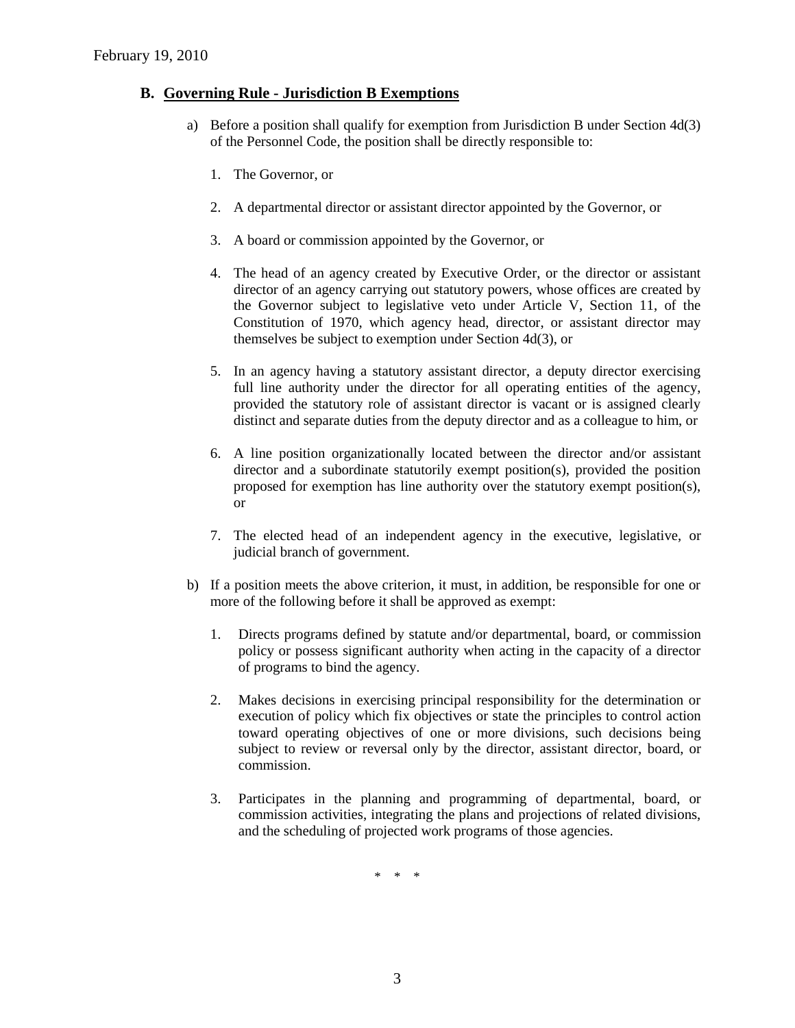#### **B. Governing Rule - Jurisdiction B Exemptions**

- a) Before a position shall qualify for exemption from Jurisdiction B under Section 4d(3) of the Personnel Code, the position shall be directly responsible to:
	- 1. The Governor, or
	- 2. A departmental director or assistant director appointed by the Governor, or
	- 3. A board or commission appointed by the Governor, or
	- 4. The head of an agency created by Executive Order, or the director or assistant director of an agency carrying out statutory powers, whose offices are created by the Governor subject to legislative veto under Article V, Section 11, of the Constitution of 1970, which agency head, director, or assistant director may themselves be subject to exemption under Section 4d(3), or
	- 5. In an agency having a statutory assistant director, a deputy director exercising full line authority under the director for all operating entities of the agency, provided the statutory role of assistant director is vacant or is assigned clearly distinct and separate duties from the deputy director and as a colleague to him, or
	- 6. A line position organizationally located between the director and/or assistant director and a subordinate statutorily exempt position(s), provided the position proposed for exemption has line authority over the statutory exempt position(s), or
	- 7. The elected head of an independent agency in the executive, legislative, or judicial branch of government.
- b) If a position meets the above criterion, it must, in addition, be responsible for one or more of the following before it shall be approved as exempt:
	- 1. Directs programs defined by statute and/or departmental, board, or commission policy or possess significant authority when acting in the capacity of a director of programs to bind the agency.
	- 2. Makes decisions in exercising principal responsibility for the determination or execution of policy which fix objectives or state the principles to control action toward operating objectives of one or more divisions, such decisions being subject to review or reversal only by the director, assistant director, board, or commission.
	- 3. Participates in the planning and programming of departmental, board, or commission activities, integrating the plans and projections of related divisions, and the scheduling of projected work programs of those agencies.

\* \* \*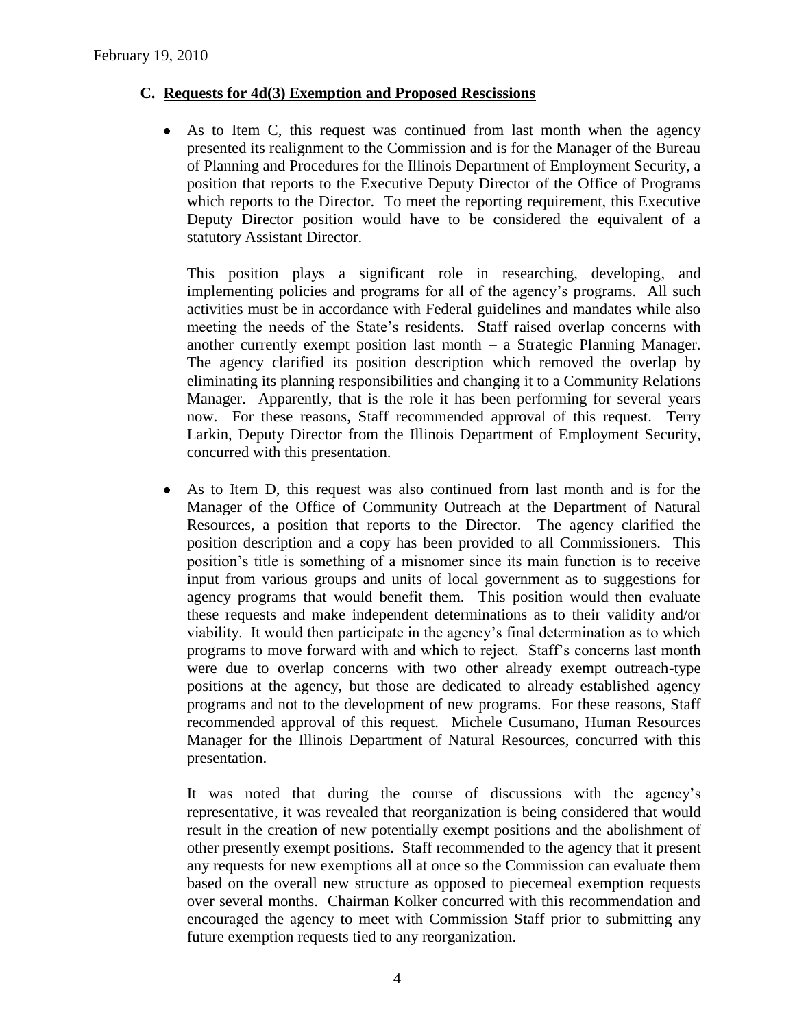## **C. Requests for 4d(3) Exemption and Proposed Rescissions**

As to Item C, this request was continued from last month when the agency presented its realignment to the Commission and is for the Manager of the Bureau of Planning and Procedures for the Illinois Department of Employment Security, a position that reports to the Executive Deputy Director of the Office of Programs which reports to the Director. To meet the reporting requirement, this Executive Deputy Director position would have to be considered the equivalent of a statutory Assistant Director.

This position plays a significant role in researching, developing, and implementing policies and programs for all of the agency's programs. All such activities must be in accordance with Federal guidelines and mandates while also meeting the needs of the State's residents. Staff raised overlap concerns with another currently exempt position last month – a Strategic Planning Manager. The agency clarified its position description which removed the overlap by eliminating its planning responsibilities and changing it to a Community Relations Manager. Apparently, that is the role it has been performing for several years now. For these reasons, Staff recommended approval of this request. Terry Larkin, Deputy Director from the Illinois Department of Employment Security, concurred with this presentation.

As to Item D, this request was also continued from last month and is for the  $\bullet$ Manager of the Office of Community Outreach at the Department of Natural Resources, a position that reports to the Director. The agency clarified the position description and a copy has been provided to all Commissioners. This position's title is something of a misnomer since its main function is to receive input from various groups and units of local government as to suggestions for agency programs that would benefit them. This position would then evaluate these requests and make independent determinations as to their validity and/or viability. It would then participate in the agency's final determination as to which programs to move forward with and which to reject. Staff's concerns last month were due to overlap concerns with two other already exempt outreach-type positions at the agency, but those are dedicated to already established agency programs and not to the development of new programs. For these reasons, Staff recommended approval of this request. Michele Cusumano, Human Resources Manager for the Illinois Department of Natural Resources, concurred with this presentation.

It was noted that during the course of discussions with the agency's representative, it was revealed that reorganization is being considered that would result in the creation of new potentially exempt positions and the abolishment of other presently exempt positions. Staff recommended to the agency that it present any requests for new exemptions all at once so the Commission can evaluate them based on the overall new structure as opposed to piecemeal exemption requests over several months. Chairman Kolker concurred with this recommendation and encouraged the agency to meet with Commission Staff prior to submitting any future exemption requests tied to any reorganization.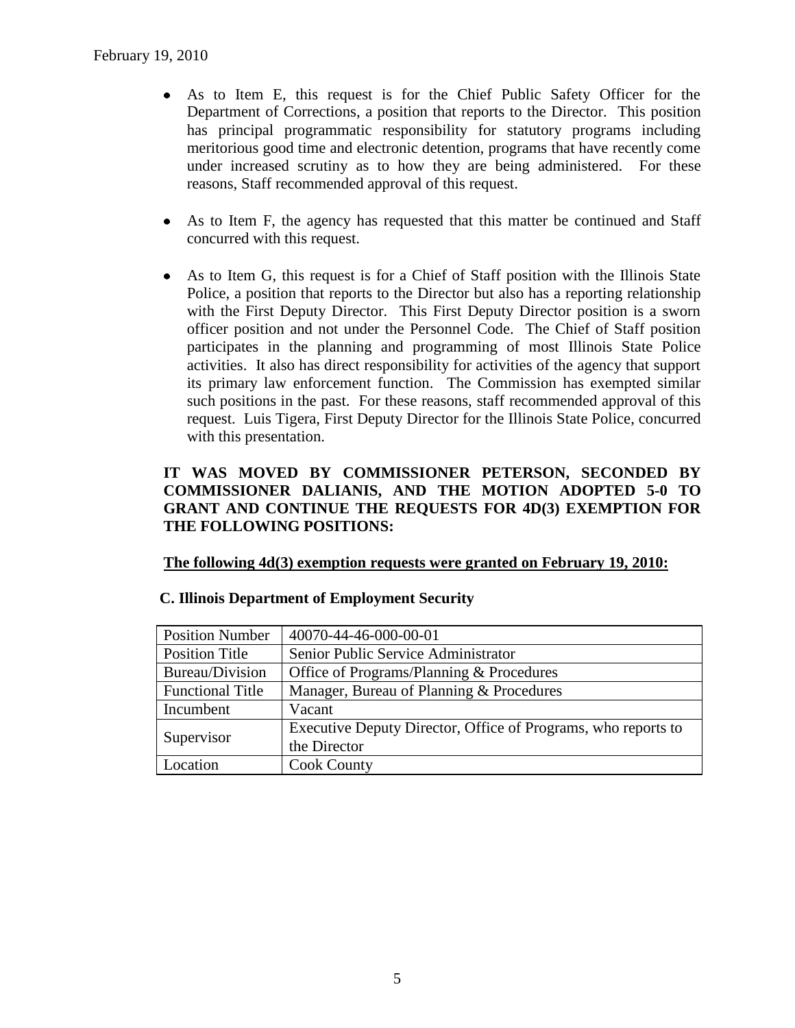- As to Item E, this request is for the Chief Public Safety Officer for the Department of Corrections, a position that reports to the Director. This position has principal programmatic responsibility for statutory programs including meritorious good time and electronic detention, programs that have recently come under increased scrutiny as to how they are being administered. For these reasons, Staff recommended approval of this request.
- As to Item F, the agency has requested that this matter be continued and Staff concurred with this request.
- As to Item G, this request is for a Chief of Staff position with the Illinois State Police, a position that reports to the Director but also has a reporting relationship with the First Deputy Director. This First Deputy Director position is a sworn officer position and not under the Personnel Code. The Chief of Staff position participates in the planning and programming of most Illinois State Police activities. It also has direct responsibility for activities of the agency that support its primary law enforcement function. The Commission has exempted similar such positions in the past. For these reasons, staff recommended approval of this request. Luis Tigera, First Deputy Director for the Illinois State Police, concurred with this presentation.

## **IT WAS MOVED BY COMMISSIONER PETERSON, SECONDED BY COMMISSIONER DALIANIS, AND THE MOTION ADOPTED 5-0 TO GRANT AND CONTINUE THE REQUESTS FOR 4D(3) EXEMPTION FOR THE FOLLOWING POSITIONS:**

#### **The following 4d(3) exemption requests were granted on February 19, 2010:**

| <b>Position Number</b>  | 40070-44-46-000-00-01                                         |
|-------------------------|---------------------------------------------------------------|
| Position Title          | Senior Public Service Administrator                           |
| Bureau/Division         | Office of Programs/Planning & Procedures                      |
| <b>Functional Title</b> | Manager, Bureau of Planning & Procedures                      |
| Incumbent               | Vacant                                                        |
|                         | Executive Deputy Director, Office of Programs, who reports to |
| Supervisor              | the Director                                                  |
| Location                | <b>Cook County</b>                                            |

#### **C. Illinois Department of Employment Security**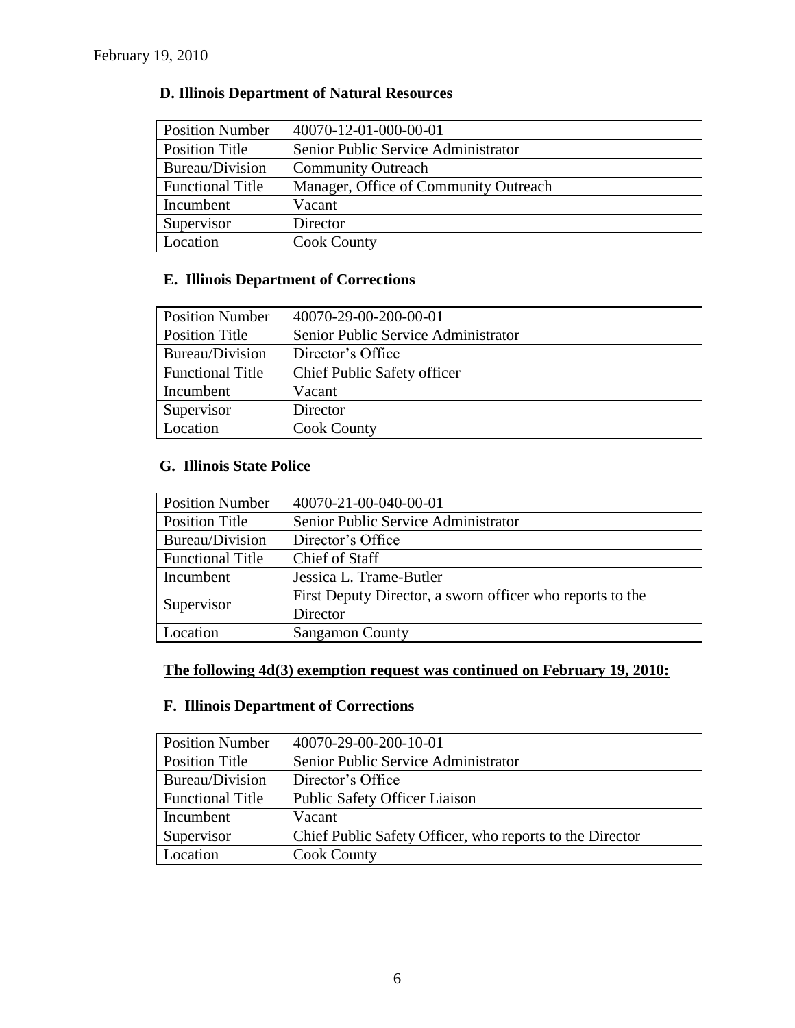| <b>Position Number</b>  | 40070-12-01-000-00-01                 |
|-------------------------|---------------------------------------|
| <b>Position Title</b>   | Senior Public Service Administrator   |
| Bureau/Division         | <b>Community Outreach</b>             |
| <b>Functional Title</b> | Manager, Office of Community Outreach |
| Incumbent               | Vacant                                |
| Supervisor              | Director                              |
| Location                | <b>Cook County</b>                    |

# **E. Illinois Department of Corrections**

| <b>Position Number</b>  | 40070-29-00-200-00-01               |
|-------------------------|-------------------------------------|
| Position Title          | Senior Public Service Administrator |
| Bureau/Division         | Director's Office                   |
| <b>Functional Title</b> | Chief Public Safety officer         |
| Incumbent               | Vacant                              |
| Supervisor              | Director                            |
| Location                | <b>Cook County</b>                  |

# **G. Illinois State Police**

| <b>Position Number</b>  | 40070-21-00-040-00-01                                     |  |  |
|-------------------------|-----------------------------------------------------------|--|--|
| <b>Position Title</b>   | Senior Public Service Administrator                       |  |  |
| Bureau/Division         | Director's Office                                         |  |  |
| <b>Functional Title</b> | Chief of Staff                                            |  |  |
| Incumbent               | Jessica L. Trame-Butler                                   |  |  |
| Supervisor              | First Deputy Director, a sworn officer who reports to the |  |  |
|                         | Director                                                  |  |  |
| Location                | <b>Sangamon County</b>                                    |  |  |

# **The following 4d(3) exemption request was continued on February 19, 2010:**

# **F. Illinois Department of Corrections**

| <b>Position Number</b>  | 40070-29-00-200-10-01                                    |
|-------------------------|----------------------------------------------------------|
| Position Title          | Senior Public Service Administrator                      |
| Bureau/Division         | Director's Office                                        |
| <b>Functional Title</b> | <b>Public Safety Officer Liaison</b>                     |
| Incumbent               | Vacant                                                   |
| Supervisor              | Chief Public Safety Officer, who reports to the Director |
| Location                | <b>Cook County</b>                                       |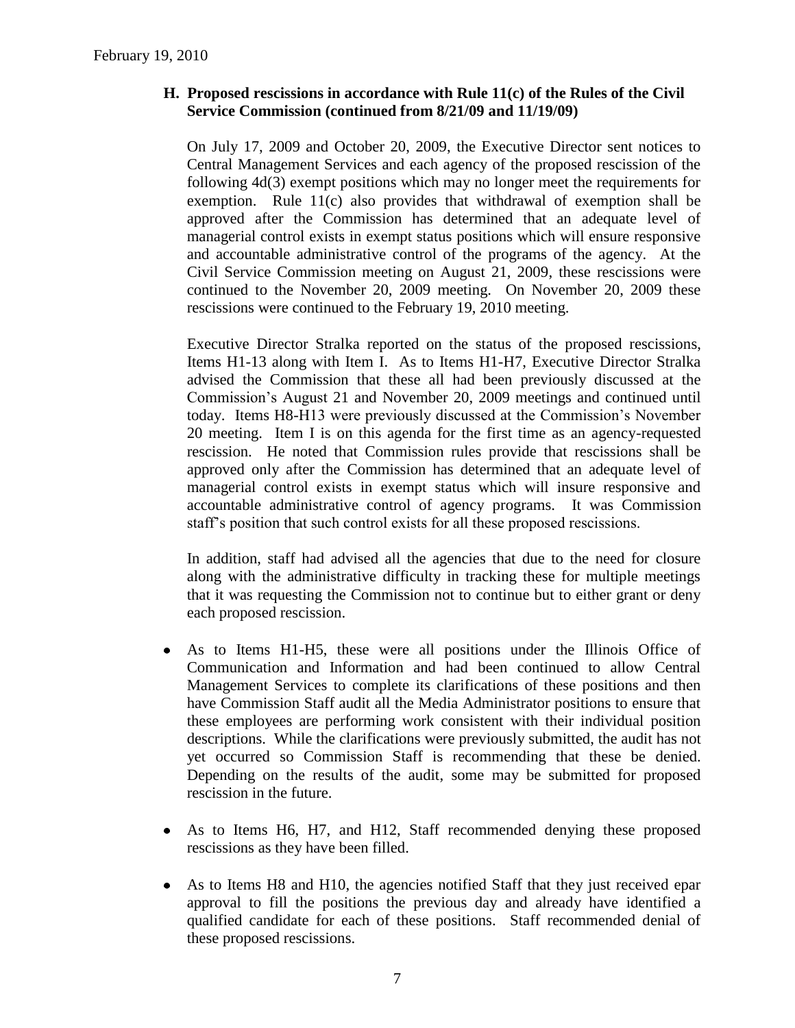## **H. Proposed rescissions in accordance with Rule 11(c) of the Rules of the Civil Service Commission (continued from 8/21/09 and 11/19/09)**

On July 17, 2009 and October 20, 2009, the Executive Director sent notices to Central Management Services and each agency of the proposed rescission of the following 4d(3) exempt positions which may no longer meet the requirements for exemption. Rule 11(c) also provides that withdrawal of exemption shall be approved after the Commission has determined that an adequate level of managerial control exists in exempt status positions which will ensure responsive and accountable administrative control of the programs of the agency. At the Civil Service Commission meeting on August 21, 2009, these rescissions were continued to the November 20, 2009 meeting. On November 20, 2009 these rescissions were continued to the February 19, 2010 meeting.

Executive Director Stralka reported on the status of the proposed rescissions, Items H1-13 along with Item I. As to Items H1-H7, Executive Director Stralka advised the Commission that these all had been previously discussed at the Commission's August 21 and November 20, 2009 meetings and continued until today. Items H8-H13 were previously discussed at the Commission's November 20 meeting. Item I is on this agenda for the first time as an agency-requested rescission. He noted that Commission rules provide that rescissions shall be approved only after the Commission has determined that an adequate level of managerial control exists in exempt status which will insure responsive and accountable administrative control of agency programs. It was Commission staff's position that such control exists for all these proposed rescissions.

In addition, staff had advised all the agencies that due to the need for closure along with the administrative difficulty in tracking these for multiple meetings that it was requesting the Commission not to continue but to either grant or deny each proposed rescission.

- As to Items H1-H5, these were all positions under the Illinois Office of Communication and Information and had been continued to allow Central Management Services to complete its clarifications of these positions and then have Commission Staff audit all the Media Administrator positions to ensure that these employees are performing work consistent with their individual position descriptions. While the clarifications were previously submitted, the audit has not yet occurred so Commission Staff is recommending that these be denied. Depending on the results of the audit, some may be submitted for proposed rescission in the future.
- As to Items H6, H7, and H12, Staff recommended denying these proposed rescissions as they have been filled.
- $\bullet$ As to Items H8 and H10, the agencies notified Staff that they just received epar approval to fill the positions the previous day and already have identified a qualified candidate for each of these positions. Staff recommended denial of these proposed rescissions.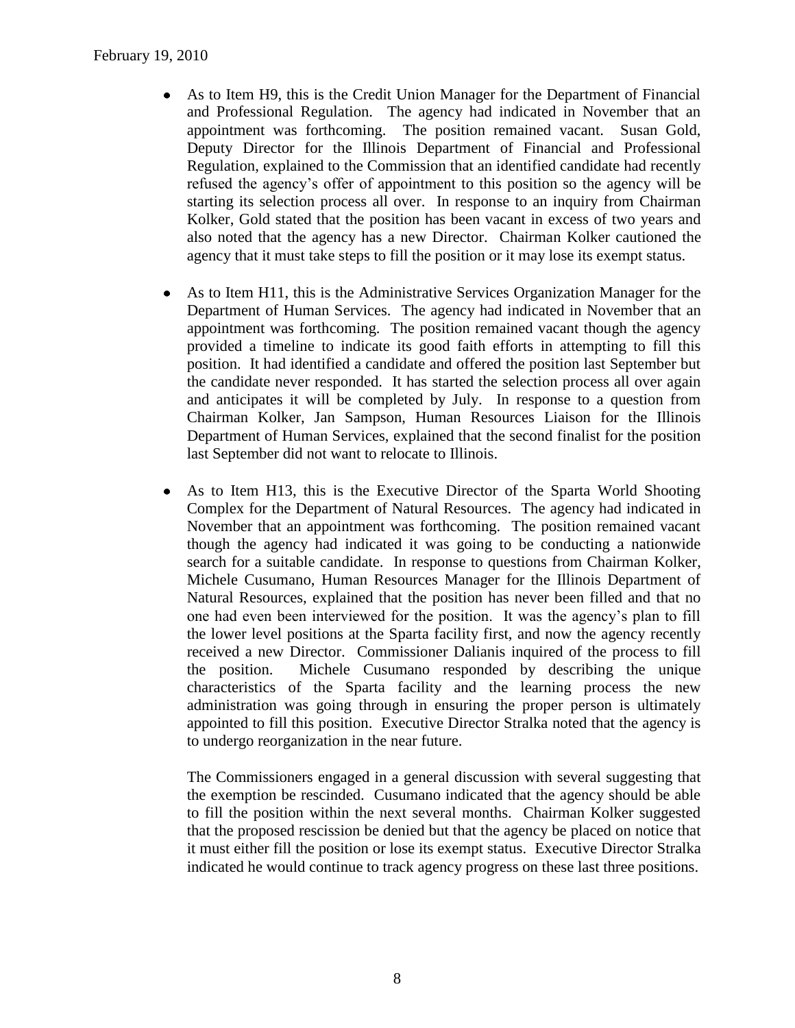- As to Item H9, this is the Credit Union Manager for the Department of Financial and Professional Regulation. The agency had indicated in November that an appointment was forthcoming. The position remained vacant. Susan Gold, Deputy Director for the Illinois Department of Financial and Professional Regulation, explained to the Commission that an identified candidate had recently refused the agency's offer of appointment to this position so the agency will be starting its selection process all over. In response to an inquiry from Chairman Kolker, Gold stated that the position has been vacant in excess of two years and also noted that the agency has a new Director. Chairman Kolker cautioned the agency that it must take steps to fill the position or it may lose its exempt status.
- As to Item H11, this is the Administrative Services Organization Manager for the  $\bullet$ Department of Human Services. The agency had indicated in November that an appointment was forthcoming. The position remained vacant though the agency provided a timeline to indicate its good faith efforts in attempting to fill this position. It had identified a candidate and offered the position last September but the candidate never responded. It has started the selection process all over again and anticipates it will be completed by July. In response to a question from Chairman Kolker, Jan Sampson, Human Resources Liaison for the Illinois Department of Human Services, explained that the second finalist for the position last September did not want to relocate to Illinois.
- $\bullet$ As to Item H13, this is the Executive Director of the Sparta World Shooting Complex for the Department of Natural Resources. The agency had indicated in November that an appointment was forthcoming. The position remained vacant though the agency had indicated it was going to be conducting a nationwide search for a suitable candidate. In response to questions from Chairman Kolker, Michele Cusumano, Human Resources Manager for the Illinois Department of Natural Resources, explained that the position has never been filled and that no one had even been interviewed for the position. It was the agency's plan to fill the lower level positions at the Sparta facility first, and now the agency recently received a new Director. Commissioner Dalianis inquired of the process to fill the position. Michele Cusumano responded by describing the unique characteristics of the Sparta facility and the learning process the new administration was going through in ensuring the proper person is ultimately appointed to fill this position. Executive Director Stralka noted that the agency is to undergo reorganization in the near future.

The Commissioners engaged in a general discussion with several suggesting that the exemption be rescinded. Cusumano indicated that the agency should be able to fill the position within the next several months. Chairman Kolker suggested that the proposed rescission be denied but that the agency be placed on notice that it must either fill the position or lose its exempt status. Executive Director Stralka indicated he would continue to track agency progress on these last three positions.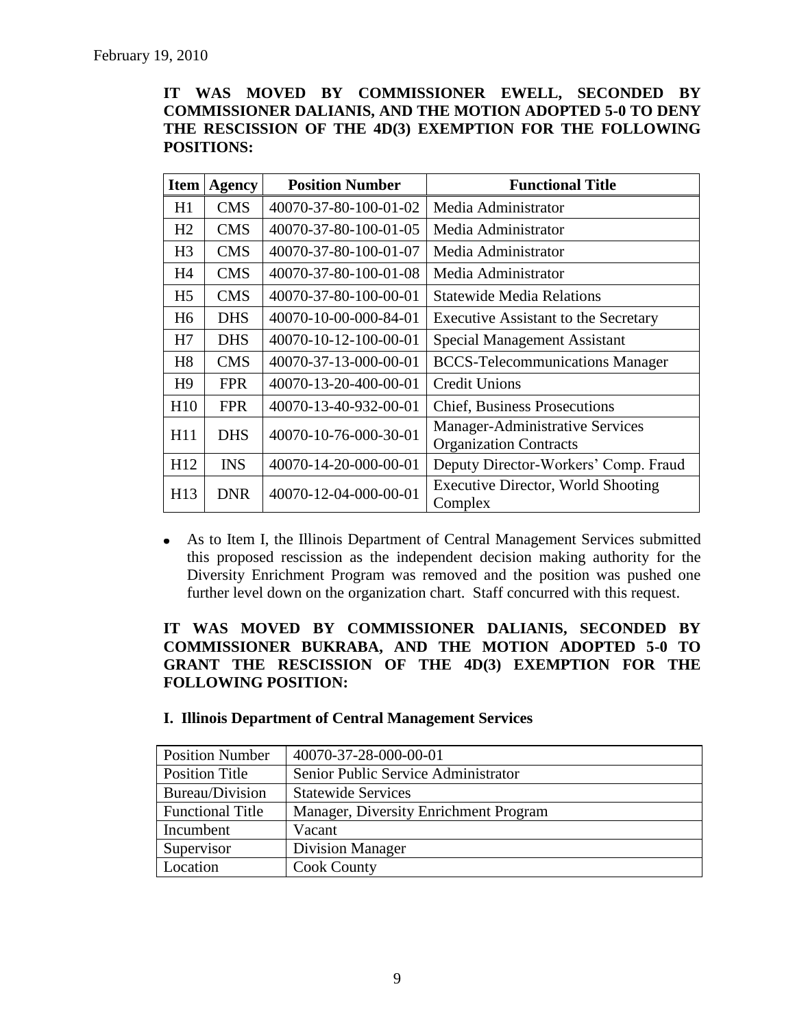## **IT WAS MOVED BY COMMISSIONER EWELL, SECONDED BY COMMISSIONER DALIANIS, AND THE MOTION ADOPTED 5-0 TO DENY THE RESCISSION OF THE 4D(3) EXEMPTION FOR THE FOLLOWING POSITIONS:**

| <b>Item</b>    | <b>Agency</b> | <b>Position Number</b> | <b>Functional Title</b>                                          |  |
|----------------|---------------|------------------------|------------------------------------------------------------------|--|
| H1             | <b>CMS</b>    | 40070-37-80-100-01-02  | Media Administrator                                              |  |
| H2             | <b>CMS</b>    | 40070-37-80-100-01-05  | Media Administrator                                              |  |
| H <sub>3</sub> | <b>CMS</b>    | 40070-37-80-100-01-07  | Media Administrator                                              |  |
| H4             | <b>CMS</b>    | 40070-37-80-100-01-08  | Media Administrator                                              |  |
| H <sub>5</sub> | <b>CMS</b>    | 40070-37-80-100-00-01  | <b>Statewide Media Relations</b>                                 |  |
| H6             | <b>DHS</b>    | 40070-10-00-000-84-01  | <b>Executive Assistant to the Secretary</b>                      |  |
| H7             | <b>DHS</b>    | 40070-10-12-100-00-01  | <b>Special Management Assistant</b>                              |  |
| H <sub>8</sub> | <b>CMS</b>    | 40070-37-13-000-00-01  | <b>BCCS-Telecommunications Manager</b>                           |  |
| H <sub>9</sub> | <b>FPR</b>    | 40070-13-20-400-00-01  | <b>Credit Unions</b>                                             |  |
| H10            | <b>FPR</b>    | 40070-13-40-932-00-01  | <b>Chief, Business Prosecutions</b>                              |  |
| H11            | <b>DHS</b>    | 40070-10-76-000-30-01  | Manager-Administrative Services<br><b>Organization Contracts</b> |  |
| H12            | <b>INS</b>    | 40070-14-20-000-00-01  | Deputy Director-Workers' Comp. Fraud                             |  |
| H13            | <b>DNR</b>    | 40070-12-04-000-00-01  | <b>Executive Director, World Shooting</b><br>Complex             |  |

As to Item I, the Illinois Department of Central Management Services submitted this proposed rescission as the independent decision making authority for the Diversity Enrichment Program was removed and the position was pushed one further level down on the organization chart. Staff concurred with this request.

## **IT WAS MOVED BY COMMISSIONER DALIANIS, SECONDED BY COMMISSIONER BUKRABA, AND THE MOTION ADOPTED 5-0 TO GRANT THE RESCISSION OF THE 4D(3) EXEMPTION FOR THE FOLLOWING POSITION:**

| <b>Position Number</b>  | 40070-37-28-000-00-01                 |
|-------------------------|---------------------------------------|
| Position Title          | Senior Public Service Administrator   |
| Bureau/Division         | <b>Statewide Services</b>             |
| <b>Functional Title</b> | Manager, Diversity Enrichment Program |
| Incumbent               | Vacant                                |
| Supervisor              | <b>Division Manager</b>               |
| Location                | <b>Cook County</b>                    |

#### **I. Illinois Department of Central Management Services**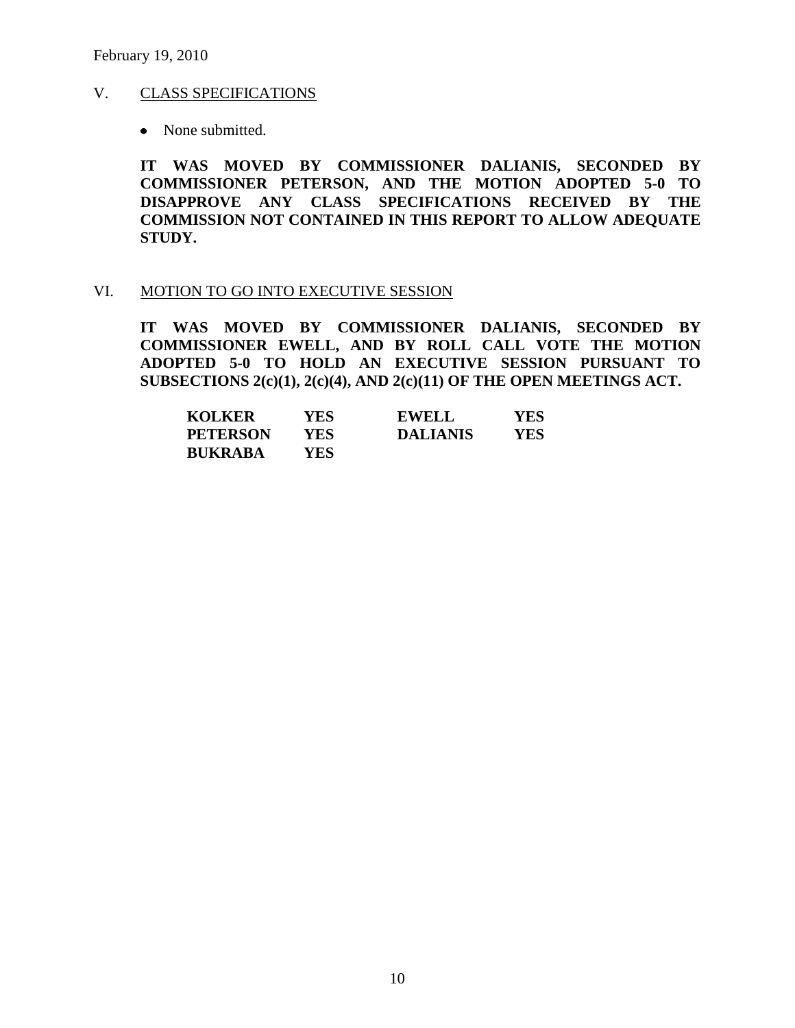#### V. CLASS SPECIFICATIONS

• None submitted.

**IT WAS MOVED BY COMMISSIONER DALIANIS, SECONDED BY COMMISSIONER PETERSON, AND THE MOTION ADOPTED 5-0 TO DISAPPROVE ANY CLASS SPECIFICATIONS RECEIVED BY THE COMMISSION NOT CONTAINED IN THIS REPORT TO ALLOW ADEQUATE STUDY.** 

#### VI. MOTION TO GO INTO EXECUTIVE SESSION

**IT WAS MOVED BY COMMISSIONER DALIANIS, SECONDED BY COMMISSIONER EWELL, AND BY ROLL CALL VOTE THE MOTION ADOPTED 5-0 TO HOLD AN EXECUTIVE SESSION PURSUANT TO SUBSECTIONS 2(c)(1), 2(c)(4), AND 2(c)(11) OF THE OPEN MEETINGS ACT.** 

| <b>KOLKER</b>   | YES  | <b>EWELL</b>    | YES  |
|-----------------|------|-----------------|------|
| <b>PETERSON</b> | YES  | <b>DALIANIS</b> | YES. |
| <b>BUKRABA</b>  | YES. |                 |      |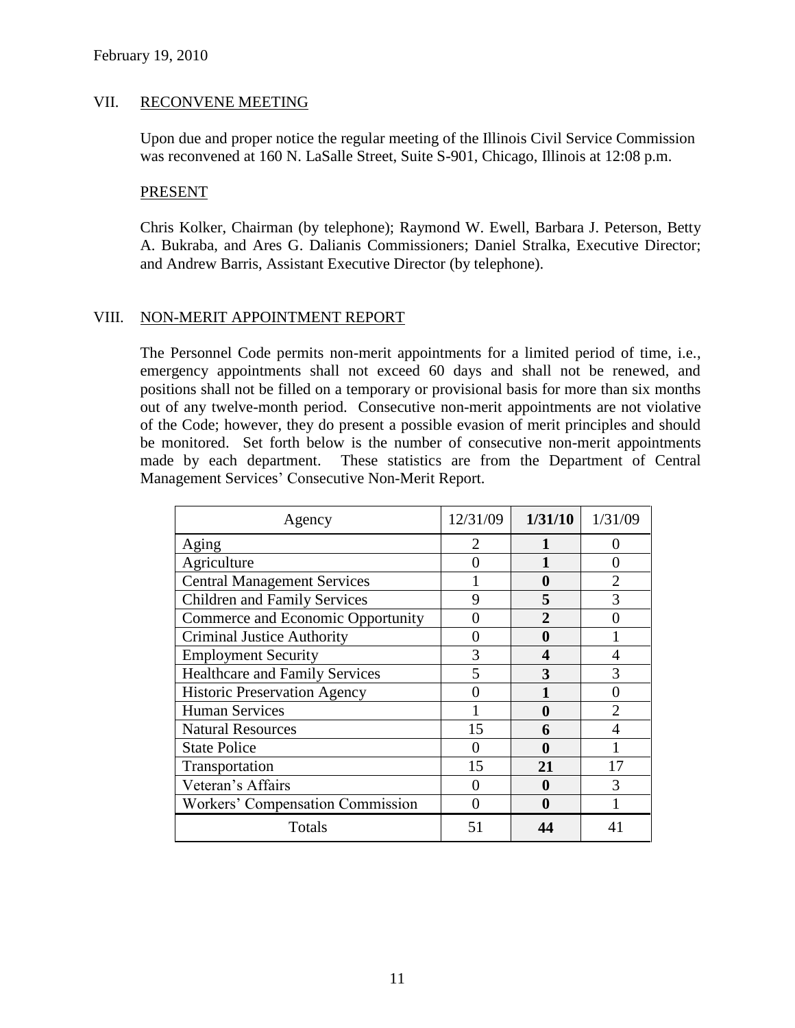#### VII. RECONVENE MEETING

Upon due and proper notice the regular meeting of the Illinois Civil Service Commission was reconvened at 160 N. LaSalle Street, Suite S-901, Chicago, Illinois at 12:08 p.m.

#### PRESENT

Chris Kolker, Chairman (by telephone); Raymond W. Ewell, Barbara J. Peterson, Betty A. Bukraba, and Ares G. Dalianis Commissioners; Daniel Stralka, Executive Director; and Andrew Barris, Assistant Executive Director (by telephone).

#### VIII. NON-MERIT APPOINTMENT REPORT

The Personnel Code permits non-merit appointments for a limited period of time, i.e., emergency appointments shall not exceed 60 days and shall not be renewed, and positions shall not be filled on a temporary or provisional basis for more than six months out of any twelve-month period. Consecutive non-merit appointments are not violative of the Code; however, they do present a possible evasion of merit principles and should be monitored. Set forth below is the number of consecutive non-merit appointments made by each department. These statistics are from the Department of Central Management Services' Consecutive Non-Merit Report.

| Agency                                | 12/31/09                    | 1/31/10      | 1/31/09 |
|---------------------------------------|-----------------------------|--------------|---------|
| Aging                                 | $\mathcal{D}_{\mathcal{L}}$ |              |         |
| Agriculture                           |                             |              | 0       |
| <b>Central Management Services</b>    |                             | 0            |         |
| <b>Children and Family Services</b>   | 9                           | 5            | 3       |
| Commerce and Economic Opportunity     |                             | $\mathbf{2}$ |         |
| <b>Criminal Justice Authority</b>     |                             | 0            |         |
| <b>Employment Security</b>            | 3                           | 4            |         |
| <b>Healthcare and Family Services</b> |                             | 3            |         |
| <b>Historic Preservation Agency</b>   |                             |              |         |
| <b>Human Services</b>                 |                             | 0            |         |
| <b>Natural Resources</b>              | 15                          | 6            |         |
| <b>State Police</b>                   | 0                           | 0            |         |
| Transportation                        | 15                          | 21           | 17      |
| Veteran's Affairs                     |                             | 0            | 3       |
| Workers' Compensation Commission      |                             | 0            |         |
| Totals                                | 51                          |              |         |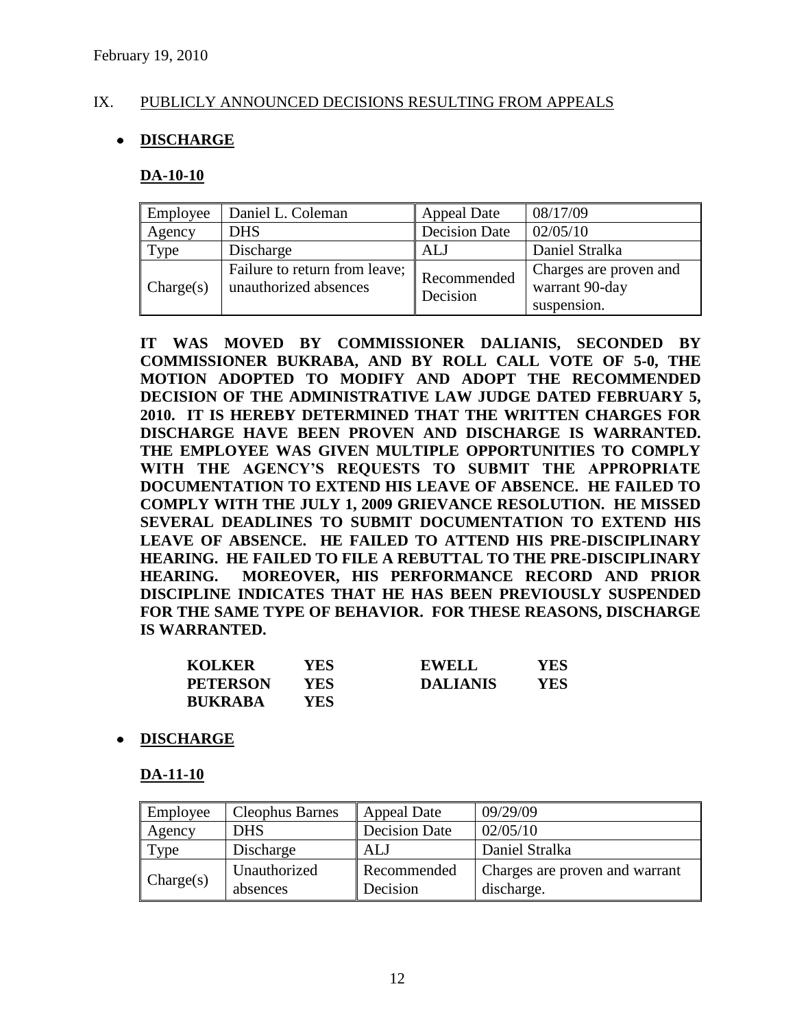## IX. PUBLICLY ANNOUNCED DECISIONS RESULTING FROM APPEALS

# **DISCHARGE**

#### **DA-10-10**

| Employee  | Daniel L. Coleman                                      | <b>Appeal Date</b>      | 08/17/09                                                |
|-----------|--------------------------------------------------------|-------------------------|---------------------------------------------------------|
| Agency    | <b>DHS</b>                                             | <b>Decision Date</b>    | 02/05/10                                                |
| Type      | Discharge                                              | ALJ                     | Daniel Stralka                                          |
| Change(s) | Failure to return from leave;<br>unauthorized absences | Recommended<br>Decision | Charges are proven and<br>warrant 90-day<br>suspension. |

**IT WAS MOVED BY COMMISSIONER DALIANIS, SECONDED BY COMMISSIONER BUKRABA, AND BY ROLL CALL VOTE OF 5-0, THE MOTION ADOPTED TO MODIFY AND ADOPT THE RECOMMENDED DECISION OF THE ADMINISTRATIVE LAW JUDGE DATED FEBRUARY 5, 2010. IT IS HEREBY DETERMINED THAT THE WRITTEN CHARGES FOR DISCHARGE HAVE BEEN PROVEN AND DISCHARGE IS WARRANTED. THE EMPLOYEE WAS GIVEN MULTIPLE OPPORTUNITIES TO COMPLY WITH THE AGENCY'S REQUESTS TO SUBMIT THE APPROPRIATE DOCUMENTATION TO EXTEND HIS LEAVE OF ABSENCE. HE FAILED TO COMPLY WITH THE JULY 1, 2009 GRIEVANCE RESOLUTION. HE MISSED SEVERAL DEADLINES TO SUBMIT DOCUMENTATION TO EXTEND HIS LEAVE OF ABSENCE. HE FAILED TO ATTEND HIS PRE-DISCIPLINARY HEARING. HE FAILED TO FILE A REBUTTAL TO THE PRE-DISCIPLINARY HEARING. MOREOVER, HIS PERFORMANCE RECORD AND PRIOR DISCIPLINE INDICATES THAT HE HAS BEEN PREVIOUSLY SUSPENDED FOR THE SAME TYPE OF BEHAVIOR. FOR THESE REASONS, DISCHARGE IS WARRANTED.**

| <b>KOLKER</b>   | YES. | <b>EWELL</b>    | YES |
|-----------------|------|-----------------|-----|
| <b>PETERSON</b> | YES  | <b>DALIANIS</b> | YES |
| <b>BUKRABA</b>  | YES  |                 |     |

## **DISCHARGE**

#### **DA-11-10**

| Employee  | <b>Cleophus Barnes</b>   | <b>Appeal Date</b>             | 09/29/09                                     |
|-----------|--------------------------|--------------------------------|----------------------------------------------|
| Agency    | <b>DHS</b>               | <b>Decision Date</b>           | 02/05/10                                     |
| Type      | Discharge                | ALJ                            | Daniel Stralka                               |
| Change(s) | Unauthorized<br>absences | <b>Recommended</b><br>Decision | Charges are proven and warrant<br>discharge. |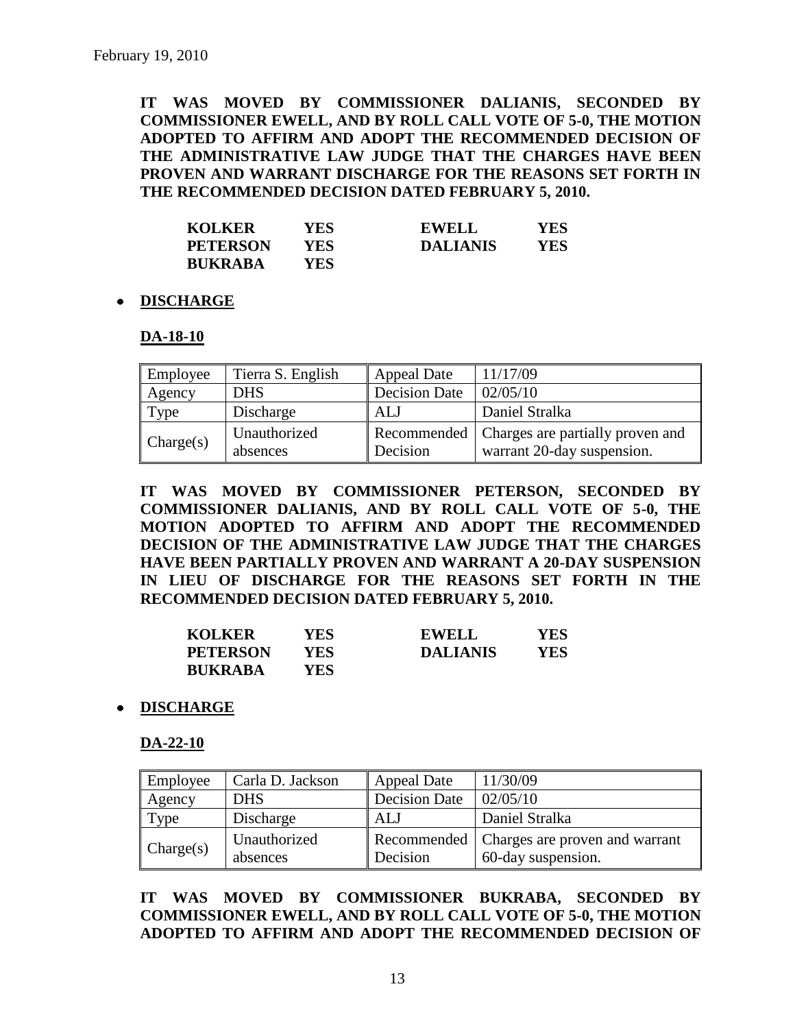**IT WAS MOVED BY COMMISSIONER DALIANIS, SECONDED BY COMMISSIONER EWELL, AND BY ROLL CALL VOTE OF 5-0, THE MOTION ADOPTED TO AFFIRM AND ADOPT THE RECOMMENDED DECISION OF THE ADMINISTRATIVE LAW JUDGE THAT THE CHARGES HAVE BEEN PROVEN AND WARRANT DISCHARGE FOR THE REASONS SET FORTH IN THE RECOMMENDED DECISION DATED FEBRUARY 5, 2010.**

| <b>KOLKER</b>   | YES. | <b>EWELL</b>    | YES  |
|-----------------|------|-----------------|------|
| <b>PETERSON</b> | YES. | <b>DALIANIS</b> | YES. |
| <b>BUKRABA</b>  | YES. |                 |      |

#### **DISCHARGE**

#### **DA-18-10**

| Employee  | Tierra S. English        | <b>Appeal Date</b>   | 11/17/09                                                                     |
|-----------|--------------------------|----------------------|------------------------------------------------------------------------------|
| Agency    | <b>DHS</b>               | <b>Decision Date</b> | 02/05/10                                                                     |
| Type      | Discharge                | ALJ                  | Daniel Stralka                                                               |
| Change(s) | Unauthorized<br>absences | Decision             | Recommended   Charges are partially proven and<br>warrant 20-day suspension. |

**IT WAS MOVED BY COMMISSIONER PETERSON, SECONDED BY COMMISSIONER DALIANIS, AND BY ROLL CALL VOTE OF 5-0, THE MOTION ADOPTED TO AFFIRM AND ADOPT THE RECOMMENDED DECISION OF THE ADMINISTRATIVE LAW JUDGE THAT THE CHARGES HAVE BEEN PARTIALLY PROVEN AND WARRANT A 20-DAY SUSPENSION IN LIEU OF DISCHARGE FOR THE REASONS SET FORTH IN THE RECOMMENDED DECISION DATED FEBRUARY 5, 2010.**

| <b>KOLKER</b>   | YES ! | <b>EWELL</b>    | YES  |
|-----------------|-------|-----------------|------|
| <b>PETERSON</b> | YES.  | <b>DALIANIS</b> | YES. |
| <b>BUKRABA</b>  | YES.  |                 |      |

#### **DISCHARGE**

**DA-22-10**

| Employee  | Carla D. Jackson         | <b>Appeal Date</b>   | 11/30/09                                                           |
|-----------|--------------------------|----------------------|--------------------------------------------------------------------|
| Agency    | <b>DHS</b>               | <b>Decision Date</b> | 02/05/10                                                           |
| Type      | Discharge                | ALJ                  | Daniel Stralka                                                     |
| Change(s) | Unauthorized<br>absences | Decision             | Recommended   Charges are proven and warrant<br>60-day suspension. |

**IT WAS MOVED BY COMMISSIONER BUKRABA, SECONDED BY COMMISSIONER EWELL, AND BY ROLL CALL VOTE OF 5-0, THE MOTION ADOPTED TO AFFIRM AND ADOPT THE RECOMMENDED DECISION OF**